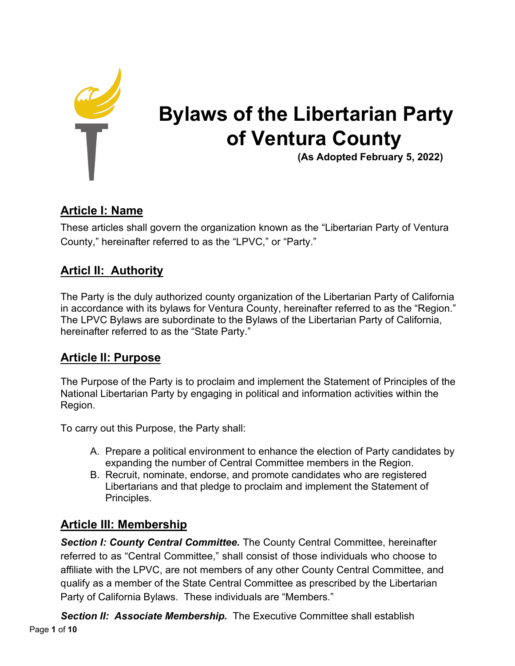

# **Bylaws of the Libertarian Party of Ventura County**

**(As Adopted February 5, 2022)**

# **Article I: Name**

These articles shall govern the organization known as the "Libertarian Party of Ventura County," hereinafter referred to as the "LPVC," or "Party."

# **Articl II: Authority**

The Party is the duly authorized county organization of the Libertarian Party of California in accordance with its bylaws for Ventura County, hereinafter referred to as the "Region." The LPVC Bylaws are subordinate to the Bylaws of the Libertarian Party of California, hereinafter referred to as the "State Party."

# **Article II: Purpose**

The Purpose of the Party is to proclaim and implement the Statement of Principles of the National Libertarian Party by engaging in political and information activities within the Region.

To carry out this Purpose, the Party shall:

- A. Prepare a political environment to enhance the election of Party candidates by expanding the number of Central Committee members in the Region.
- B. Recruit, nominate, endorse, and promote candidates who are registered Libertarians and that pledge to proclaim and implement the Statement of Principles.

# **Article III: Membership**

*Section I: County Central Committee.* The County Central Committee, hereinafter referred to as "Central Committee," shall consist of those individuals who choose to affiliate with the LPVC, are not members of any other County Central Committee, and qualify as a member of the State Central Committee as prescribed by the Libertarian Party of California Bylaws. These individuals are "Members."

Page **1** of **10 Section II: Associate Membership.** The Executive Committee shall establish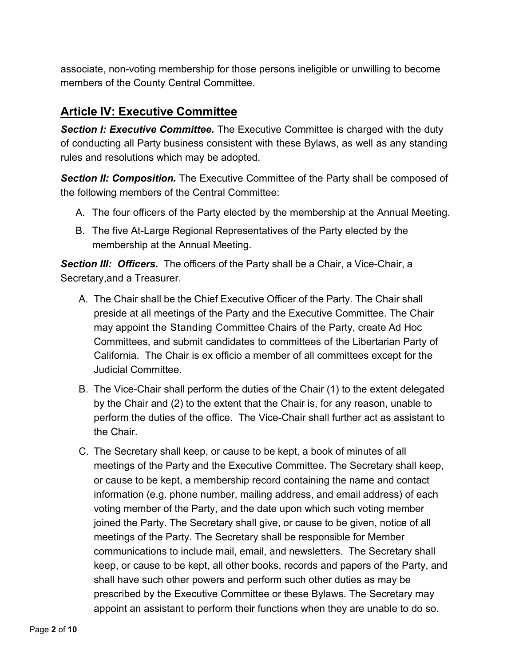associate, non-voting membership for those persons ineligible or unwilling to become members of the County Central Committee.

### **Article IV: Executive Committee**

*Section I: Executive Committee.* The Executive Committee is charged with the duty of conducting all Party business consistent with these Bylaws, as well as any standing rules and resolutions which may be adopted.

*Section II: Composition.* The Executive Committee of the Party shall be composed of the following members of the Central Committee:

- A. The four officers of the Party elected by the membership at the Annual Meeting.
- B. The five At-Large Regional Representatives of the Party elected by the membership at the Annual Meeting.

*Section III: Officers.* The officers of the Party shall be a Chair, a Vice-Chair, a Secretary,and a Treasurer.

- A. The Chair shall be the Chief Executive Officer of the Party. The Chair shall preside at all meetings of the Party and the Executive Committee. The Chair may appoint the Standing Committee Chairs of the Party, create Ad Hoc Committees, and submit candidates to committees of the Libertarian Party of California. The Chair is ex officio a member of all committees except for the Judicial Committee.
- B. The Vice-Chair shall perform the duties of the Chair (1) to the extent delegated by the Chair and (2) to the extent that the Chair is, for any reason, unable to perform the duties of the office. The Vice-Chair shall further act as assistant to the Chair.
- C. The Secretary shall keep, or cause to be kept, a book of minutes of all meetings of the Party and the Executive Committee. The Secretary shall keep, or cause to be kept, a membership record containing the name and contact information (e.g. phone number, mailing address, and email address) of each voting member of the Party, and the date upon which such voting member joined the Party. The Secretary shall give, or cause to be given, notice of all meetings of the Party. The Secretary shall be responsible for Member communications to include mail, email, and newsletters. The Secretary shall keep, or cause to be kept, all other books, records and papers of the Party, and shall have such other powers and perform such other duties as may be prescribed by the Executive Committee or these Bylaws. The Secretary may appoint an assistant to perform their functions when they are unable to do so.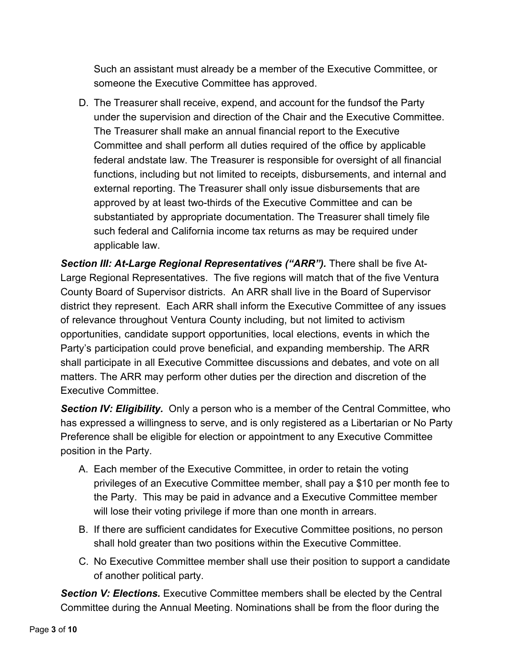Such an assistant must already be a member of the Executive Committee, or someone the Executive Committee has approved.

D. The Treasurer shall receive, expend, and account for the fundsof the Party under the supervision and direction of the Chair and the Executive Committee. The Treasurer shall make an annual financial report to the Executive Committee and shall perform all duties required of the office by applicable federal andstate law. The Treasurer is responsible for oversight of all financial functions, including but not limited to receipts, disbursements, and internal and external reporting. The Treasurer shall only issue disbursements that are approved by at least two-thirds of the Executive Committee and can be substantiated by appropriate documentation. The Treasurer shall timely file such federal and California income tax returns as may be required under applicable law.

*Section III: At-Large Regional Representatives ("ARR").* There shall be five At-Large Regional Representatives. The five regions will match that of the five Ventura County Board of Supervisor districts. An ARR shall live in the Board of Supervisor district they represent. Each ARR shall inform the Executive Committee of any issues of relevance throughout Ventura County including, but not limited to activism opportunities, candidate support opportunities, local elections, events in which the Party's participation could prove beneficial, and expanding membership. The ARR shall participate in all Executive Committee discussions and debates, and vote on all matters. The ARR may perform other duties per the direction and discretion of the Executive Committee.

*Section IV: Eligibility.* Only a person who is a member of the Central Committee, who has expressed a willingness to serve, and is only registered as a Libertarian or No Party Preference shall be eligible for election or appointment to any Executive Committee position in the Party.

- A. Each member of the Executive Committee, in order to retain the voting privileges of an Executive Committee member, shall pay a \$10 per month fee to the Party. This may be paid in advance and a Executive Committee member will lose their voting privilege if more than one month in arrears.
- B. If there are sufficient candidates for Executive Committee positions, no person shall hold greater than two positions within the Executive Committee.
- C. No Executive Committee member shall use their position to support a candidate of another political party.

*Section V: Elections.* Executive Committee members shall be elected by the Central Committee during the Annual Meeting. Nominations shall be from the floor during the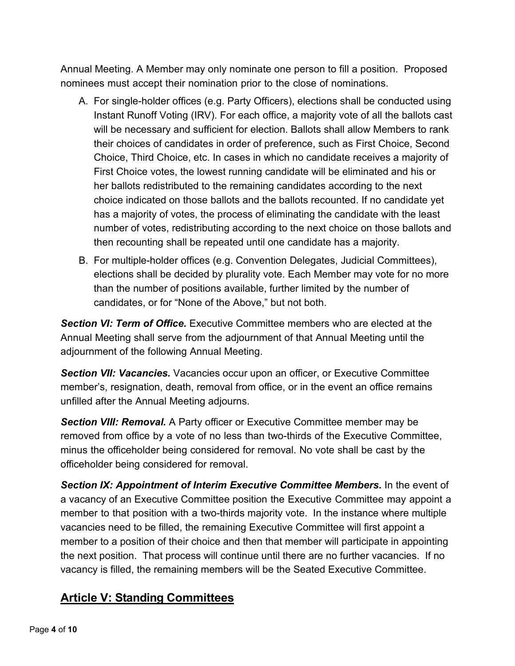Annual Meeting. A Member may only nominate one person to fill a position. Proposed nominees must accept their nomination prior to the close of nominations.

- A. For single-holder offices (e.g. Party Officers), elections shall be conducted using Instant Runoff Voting (IRV). For each office, a majority vote of all the ballots cast will be necessary and sufficient for election. Ballots shall allow Members to rank their choices of candidates in order of preference, such as First Choice, Second Choice, Third Choice, etc. In cases in which no candidate receives a majority of First Choice votes, the lowest running candidate will be eliminated and his or her ballots redistributed to the remaining candidates according to the next choice indicated on those ballots and the ballots recounted. If no candidate yet has a majority of votes, the process of eliminating the candidate with the least number of votes, redistributing according to the next choice on those ballots and then recounting shall be repeated until one candidate has a majority.
- B. For multiple-holder offices (e.g. Convention Delegates, Judicial Committees), elections shall be decided by plurality vote. Each Member may vote for no more than the number of positions available, further limited by the number of candidates, or for "None of the Above," but not both.

**Section VI**: Term of Office. Executive Committee members who are elected at the Annual Meeting shall serve from the adjournment of that Annual Meeting until the adjournment of the following Annual Meeting.

*Section VII: Vacancies.* Vacancies occur upon an officer, or Executive Committee member's, resignation, death, removal from office, or in the event an office remains unfilled after the Annual Meeting adjourns.

*Section VIII: Removal.* A Party officer or Executive Committee member may be removed from office by a vote of no less than two-thirds of the Executive Committee, minus the officeholder being considered for removal. No vote shall be cast by the officeholder being considered for removal.

*Section IX: Appointment of Interim Executive Committee Members.* In the event of a vacancy of an Executive Committee position the Executive Committee may appoint a member to that position with a two-thirds majority vote. In the instance where multiple vacancies need to be filled, the remaining Executive Committee will first appoint a member to a position of their choice and then that member will participate in appointing the next position. That process will continue until there are no further vacancies. If no vacancy is filled, the remaining members will be the Seated Executive Committee.

### **Article V: Standing Committees**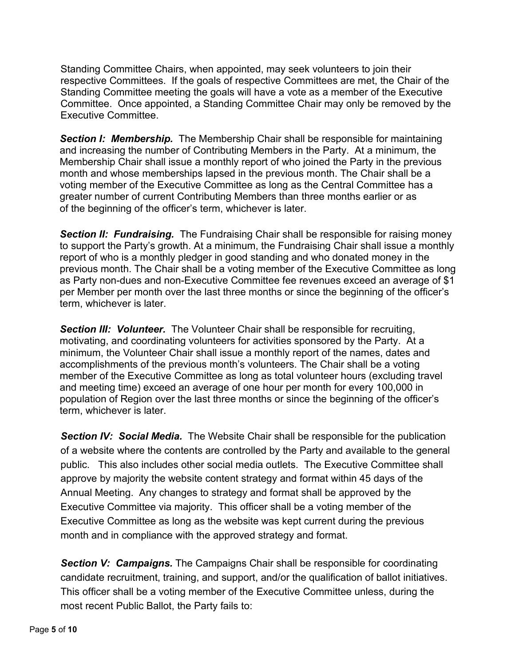Standing Committee Chairs, when appointed, may seek volunteers to join their respective Committees. If the goals of respective Committees are met, the Chair of the Standing Committee meeting the goals will have a vote as a member of the Executive Committee. Once appointed, a Standing Committee Chair may only be removed by the Executive Committee.

*Section I: Membership.* The Membership Chair shall be responsible for maintaining and increasing the number of Contributing Members in the Party. At a minimum, the Membership Chair shall issue a monthly report of who joined the Party in the previous month and whose memberships lapsed in the previous month. The Chair shall be a voting member of the Executive Committee as long as the Central Committee has a greater number of current Contributing Members than three months earlier or as of the beginning of the officer's term, whichever is later.

**Section II: Fundraising.** The Fundraising Chair shall be responsible for raising money to support the Party's growth. At a minimum, the Fundraising Chair shall issue a monthly report of who is a monthly pledger in good standing and who donated money in the previous month. The Chair shall be a voting member of the Executive Committee as long as Party non-dues and non-Executive Committee fee revenues exceed an average of \$1 per Member per month over the last three months or since the beginning of the officer's term, whichever is later.

*Section III: Volunteer.* The Volunteer Chair shall be responsible for recruiting, motivating, and coordinating volunteers for activities sponsored by the Party. At a minimum, the Volunteer Chair shall issue a monthly report of the names, dates and accomplishments of the previous month's volunteers. The Chair shall be a voting member of the Executive Committee as long as total volunteer hours (excluding travel and meeting time) exceed an average of one hour per month for every 100,000 in population of Region over the last three months or since the beginning of the officer's term, whichever is later.

**Section IV: Social Media.** The Website Chair shall be responsible for the publication of a website where the contents are controlled by the Party and available to the general public. This also includes other social media outlets. The Executive Committee shall approve by majority the website content strategy and format within 45 days of the Annual Meeting. Any changes to strategy and format shall be approved by the Executive Committee via majority. This officer shall be a voting member of the Executive Committee as long as the website was kept current during the previous month and in compliance with the approved strategy and format.

*Section V: Campaigns.* The Campaigns Chair shall be responsible for coordinating candidate recruitment, training, and support, and/or the qualification of ballot initiatives. This officer shall be a voting member of the Executive Committee unless, during the most recent Public Ballot, the Party fails to: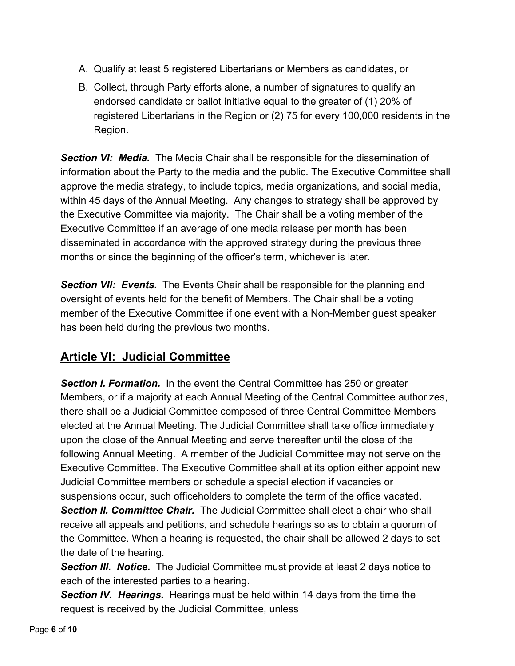- A. Qualify at least 5 registered Libertarians or Members as candidates, or
- B. Collect, through Party efforts alone, a number of signatures to qualify an endorsed candidate or ballot initiative equal to the greater of (1) 20% of registered Libertarians in the Region or (2) 75 for every 100,000 residents in the Region.

*Section VI: Media.* The Media Chair shall be responsible for the dissemination of information about the Party to the media and the public. The Executive Committee shall approve the media strategy, to include topics, media organizations, and social media, within 45 days of the Annual Meeting. Any changes to strategy shall be approved by the Executive Committee via majority. The Chair shall be a voting member of the Executive Committee if an average of one media release per month has been disseminated in accordance with the approved strategy during the previous three months or since the beginning of the officer's term, whichever is later.

**Section VII: Events.** The Events Chair shall be responsible for the planning and oversight of events held for the benefit of Members. The Chair shall be a voting member of the Executive Committee if one event with a Non-Member guest speaker has been held during the previous two months.

# **Article VI: Judicial Committee**

*Section I. Formation.* In the event the Central Committee has 250 or greater Members, or if a majority at each Annual Meeting of the Central Committee authorizes, there shall be a Judicial Committee composed of three Central Committee Members elected at the Annual Meeting. The Judicial Committee shall take office immediately upon the close of the Annual Meeting and serve thereafter until the close of the following Annual Meeting. A member of the Judicial Committee may not serve on the Executive Committee. The Executive Committee shall at its option either appoint new Judicial Committee members or schedule a special election if vacancies or suspensions occur, such officeholders to complete the term of the office vacated.

*Section II. Committee Chair.* The Judicial Committee shall elect a chair who shall receive all appeals and petitions, and schedule hearings so as to obtain a quorum of the Committee. When a hearing is requested, the chair shall be allowed 2 days to set the date of the hearing.

**Section III. Notice.** The Judicial Committee must provide at least 2 days notice to each of the interested parties to a hearing.

*Section IV. Hearings.* Hearings must be held within 14 days from the time the request is received by the Judicial Committee, unless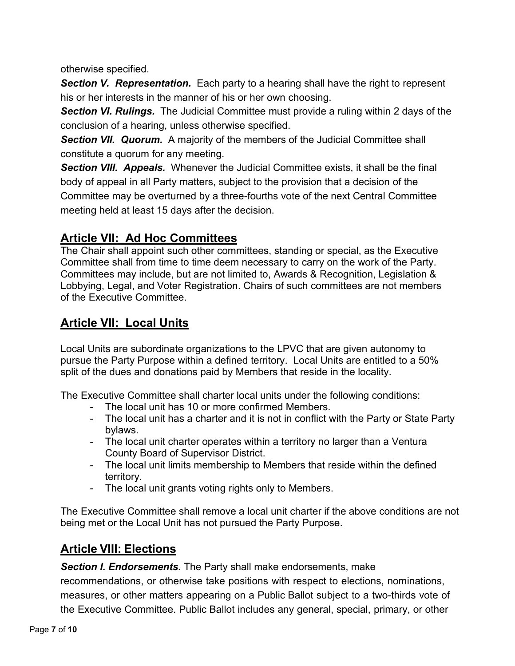otherwise specified.

**Section V. Representation.** Each party to a hearing shall have the right to represent his or her interests in the manner of his or her own choosing.

**Section VI. Rulings.** The Judicial Committee must provide a ruling within 2 days of the conclusion of a hearing, unless otherwise specified.

**Section VII. Quorum.** A majority of the members of the Judicial Committee shall constitute a quorum for any meeting.

*Section VIII. Appeals.* Whenever the Judicial Committee exists, it shall be the final body of appeal in all Party matters, subject to the provision that a decision of the Committee may be overturned by a three-fourths vote of the next Central Committee meeting held at least 15 days after the decision.

## **Article VII: Ad Hoc Committees**

The Chair shall appoint such other committees, standing or special, as the Executive Committee shall from time to time deem necessary to carry on the work of the Party. Committees may include, but are not limited to, Awards & Recognition, Legislation & Lobbying, Legal, and Voter Registration. Chairs of such committees are not members of the Executive Committee.

# **Article VII: Local Units**

Local Units are subordinate organizations to the LPVC that are given autonomy to pursue the Party Purpose within a defined territory. Local Units are entitled to a 50% split of the dues and donations paid by Members that reside in the locality.

The Executive Committee shall charter local units under the following conditions:

- The local unit has 10 or more confirmed Members.
- The local unit has a charter and it is not in conflict with the Party or State Party bylaws.
- The local unit charter operates within a territory no larger than a Ventura County Board of Supervisor District.
- The local unit limits membership to Members that reside within the defined territory.
- The local unit grants voting rights only to Members.

The Executive Committee shall remove a local unit charter if the above conditions are not being met or the Local Unit has not pursued the Party Purpose.

# **Article VIII: Elections**

*Section I. Endorsements.* The Party shall make endorsements, make

recommendations, or otherwise take positions with respect to elections, nominations, measures, or other matters appearing on a Public Ballot subject to a two-thirds vote of the Executive Committee. Public Ballot includes any general, special, primary, or other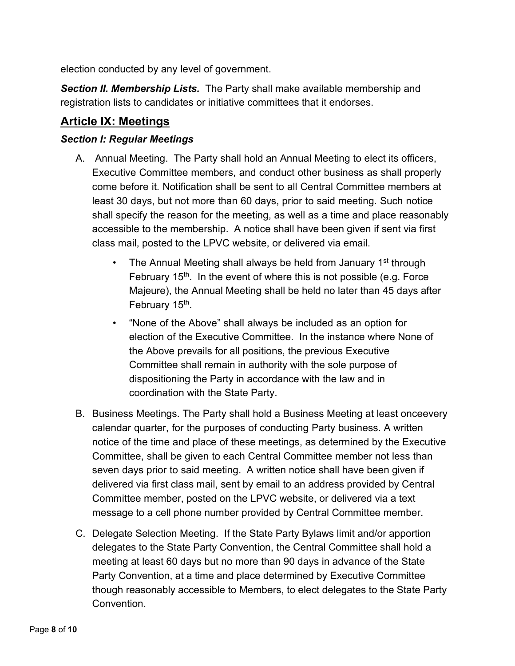election conducted by any level of government.

*Section II. Membership Lists.* The Party shall make available membership and registration lists to candidates or initiative committees that it endorses.

#### **Article IX: Meetings**

#### *Section I: Regular Meetings*

- A. Annual Meeting. The Party shall hold an Annual Meeting to elect its officers, Executive Committee members, and conduct other business as shall properly come before it. Notification shall be sent to all Central Committee members at least 30 days, but not more than 60 days, prior to said meeting. Such notice shall specify the reason for the meeting, as well as a time and place reasonably accessible to the membership. A notice shall have been given if sent via first class mail, posted to the LPVC website, or delivered via email.
	- The Annual Meeting shall always be held from January  $1<sup>st</sup>$  through February  $15<sup>th</sup>$ . In the event of where this is not possible (e.g. Force Majeure), the Annual Meeting shall be held no later than 45 days after February 15<sup>th</sup>.
	- "None of the Above" shall always be included as an option for election of the Executive Committee. In the instance where None of the Above prevails for all positions, the previous Executive Committee shall remain in authority with the sole purpose of dispositioning the Party in accordance with the law and in coordination with the State Party.
- B. Business Meetings. The Party shall hold a Business Meeting at least onceevery calendar quarter, for the purposes of conducting Party business. A written notice of the time and place of these meetings, as determined by the Executive Committee, shall be given to each Central Committee member not less than seven days prior to said meeting. A written notice shall have been given if delivered via first class mail, sent by email to an address provided by Central Committee member, posted on the LPVC website, or delivered via a text message to a cell phone number provided by Central Committee member.
- C. Delegate Selection Meeting. If the State Party Bylaws limit and/or apportion delegates to the State Party Convention, the Central Committee shall hold a meeting at least 60 days but no more than 90 days in advance of the State Party Convention, at a time and place determined by Executive Committee though reasonably accessible to Members, to elect delegates to the State Party Convention.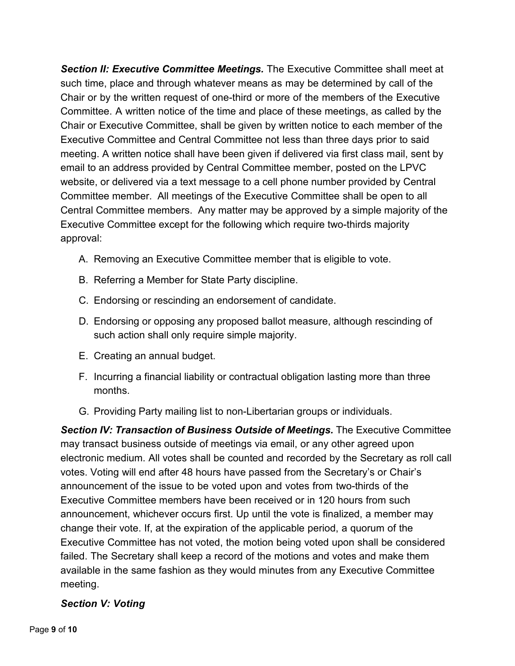*Section II: Executive Committee Meetings.* The Executive Committee shall meet at such time, place and through whatever means as may be determined by call of the Chair or by the written request of one-third or more of the members of the Executive Committee. A written notice of the time and place of these meetings, as called by the Chair or Executive Committee, shall be given by written notice to each member of the Executive Committee and Central Committee not less than three days prior to said meeting. A written notice shall have been given if delivered via first class mail, sent by email to an address provided by Central Committee member, posted on the LPVC website, or delivered via a text message to a cell phone number provided by Central Committee member. All meetings of the Executive Committee shall be open to all Central Committee members. Any matter may be approved by a simple majority of the Executive Committee except for the following which require two-thirds majority approval:

- A. Removing an Executive Committee member that is eligible to vote.
- B. Referring a Member for State Party discipline.
- C. Endorsing or rescinding an endorsement of candidate.
- D. Endorsing or opposing any proposed ballot measure, although rescinding of such action shall only require simple majority.
- E. Creating an annual budget.
- F. Incurring a financial liability or contractual obligation lasting more than three months.
- G. Providing Party mailing list to non-Libertarian groups or individuals.

*Section IV: Transaction of Business Outside of Meetings.* The Executive Committee may transact business outside of meetings via email, or any other agreed upon electronic medium. All votes shall be counted and recorded by the Secretary as roll call votes. Voting will end after 48 hours have passed from the Secretary's or Chair's announcement of the issue to be voted upon and votes from two-thirds of the Executive Committee members have been received or in 120 hours from such announcement, whichever occurs first. Up until the vote is finalized, a member may change their vote. If, at the expiration of the applicable period, a quorum of the Executive Committee has not voted, the motion being voted upon shall be considered failed. The Secretary shall keep a record of the motions and votes and make them available in the same fashion as they would minutes from any Executive Committee meeting.

#### *Section V: Voting*